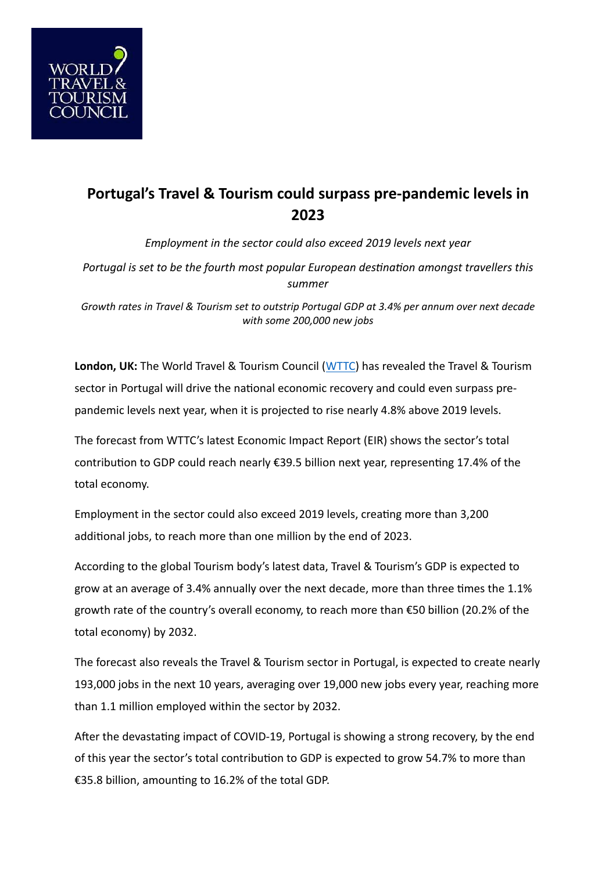

## **Portugal's Travel & Tourism could surpass pre-pandemic levels in 2023**

*Employment in the sector could also exceed 2019 levels next year*

*Portugal is set to be the fourth most popular European destination amongst travellers this summer*

*Growth rates in Travel & Tourism set to outstrip Portugal GDP at 3.4% per annum over next decade with some 200,000 new jobs*

**London, UK:** The World Travel & Tourism Council ([WTTC](http://www.wttc.org/)) has revealed the Travel & Tourism sector in Portugal will drive the national economic recovery and could even surpass prepandemic levels next year, when it is projected to rise nearly 4.8% above 2019 levels.

The forecast from WTTC's latest Economic Impact Report (EIR) shows the sector's total contribution to GDP could reach nearly €39.5 billion next year, representing 17.4% of the total economy.

Employment in the sector could also exceed 2019 levels, creating more than 3,200 additional jobs, to reach more than one million by the end of 2023.

According to the global Tourism body's latest data, Travel & Tourism's GDP is expected to grow at an average of 3.4% annually over the next decade, more than three times the 1.1% growth rate of the country's overall economy, to reach more than €50 billion (20.2% of the total economy) by 2032.

The forecast also reveals the Travel & Tourism sector in Portugal, is expected to create nearly 193,000 jobs in the next 10 years, averaging over 19,000 new jobs every year, reaching more than 1.1 million employed within the sector by 2032.

After the devastating impact of COVID-19, Portugal is showing a strong recovery, by the end of this year the sector's total contribution to GDP is expected to grow 54.7% to more than €35.8 billion, amounting to 16.2% of the total GDP.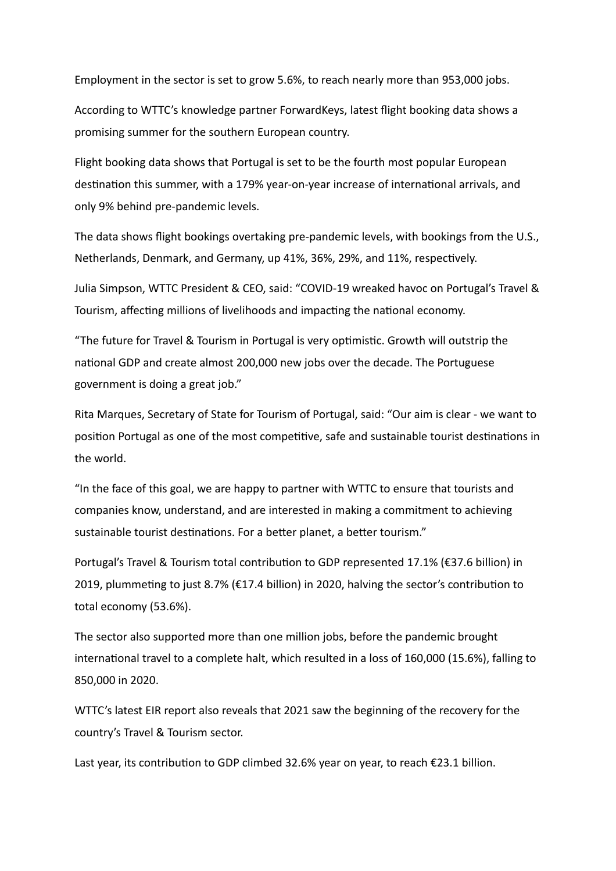Employment in the sector is set to grow 5.6%, to reach nearly more than 953,000 jobs.

According to WTTC's knowledge partner ForwardKeys, latest flight booking data shows a promising summer for the southern European country.

Flight booking data shows that Portugal is set to be the fourth most popular European destination this summer, with a 179% year-on-year increase of international arrivals, and only 9% behind pre-pandemic levels.

The data shows flight bookings overtaking pre-pandemic levels, with bookings from the U.S., Netherlands, Denmark, and Germany, up 41%, 36%, 29%, and 11%, respectively.

Julia Simpson, WTTC President & CEO, said: "COVID-19 wreaked havoc on Portugal's Travel & Tourism, affecting millions of livelihoods and impacting the national economy.

"The future for Travel & Tourism in Portugal is very optimistic. Growth will outstrip the national GDP and create almost 200,000 new jobs over the decade. The Portuguese government is doing a great job."

Rita Marques, Secretary of State for Tourism of Portugal, said: "Our aim is clear - we want to position Portugal as one of the most competitive, safe and sustainable tourist destinations in the world.

"In the face of this goal, we are happy to partner with WTTC to ensure that tourists and companies know, understand, and are interested in making a commitment to achieving sustainable tourist destinations. For a better planet, a better tourism."

Portugal's Travel & Tourism total contribution to GDP represented 17.1% (€37.6 billion) in 2019, plummeting to just 8.7% (€17.4 billion) in 2020, halving the sector's contribution to total economy (53.6%).

The sector also supported more than one million jobs, before the pandemic brought international travel to a complete halt, which resulted in a loss of 160,000 (15.6%), falling to 850,000 in 2020.

WTTC's latest EIR report also reveals that 2021 saw the beginning of the recovery for the country's Travel & Tourism sector.

Last year, its contribution to GDP climbed 32.6% year on year, to reach  $\epsilon$ 23.1 billion.